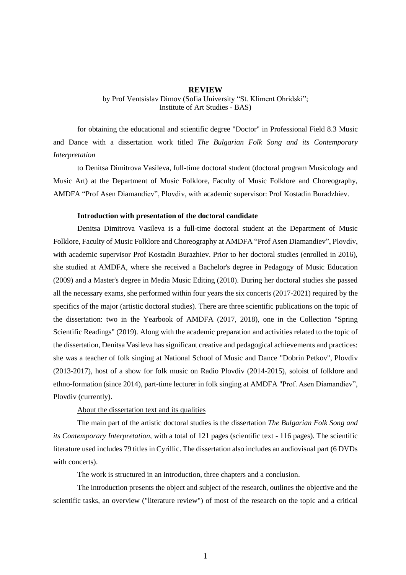## **REVIEW**

by Prof Ventsislav Dimov (Sofia University "St. Kliment Ohridski"; Institute of Art Studies - BAS)

for obtaining the educational and scientific degree "Doctor" in Professional Field 8.3 Music and Dance with a dissertation work titled *The Bulgarian Folk Song and its Contemporary Interpretation*

to Denitsa Dimitrova Vasileva, full-time doctoral student (doctoral program Musicology and Music Art) at the Department of Music Folklore, Faculty of Music Folklore and Choreography, AMDFA "Prof Asen Diamandiev", Plovdiv, with academic supervisor: Prof Kostadin Buradzhiev.

## **Introduction with presentation of the doctoral candidate**

Denitsa Dimitrova Vasileva is a full-time doctoral student at the Department of Music Folklore, Faculty of Music Folklore and Choreography at AMDFA "Prof Asen Diamandiev", Plovdiv, with academic supervisor Prof Kostadin Burazhiev. Prior to her doctoral studies (enrolled in 2016), she studied at AMDFA, where she received a Bachelor's degree in Pedagogy of Music Education (2009) and a Master's degree in Media Music Editing (2010). During her doctoral studies she passed all the necessary exams, she performed within four years the six concerts (2017-2021) required by the specifics of the major (artistic doctoral studies). There are three scientific publications on the topic of the dissertation: two in the Yearbook of AMDFA (2017, 2018), one in the Collection "Spring Scientific Readings" (2019). Along with the academic preparation and activities related to the topic of the dissertation, Denitsa Vasileva has significant creative and pedagogical achievements and practices: she was a teacher of folk singing at National School of Music and Dance "Dobrin Petkov", Plovdiv (2013-2017), host of a show for folk music on Radio Plovdiv (2014-2015), soloist of folklore and ethno-formation (since 2014), part-time lecturer in folk singing at AMDFA "Prof. Asen Diamandiev", Plovdiv (currently).

About the dissertation text and its qualities

The main part of the artistic doctoral studies is the dissertation *The Bulgarian Folk Song and its Contemporary Interpretation*, with a total of 121 pages (scientific text - 116 pages). The scientific literature used includes 79 titles in Cyrillic. The dissertation also includes an audiovisual part (6 DVDs with concerts).

The work is structured in an introduction, three chapters and a conclusion.

The introduction presents the object and subject of the research, outlines the objective and the scientific tasks, an overview ("literature review") of most of the research on the topic and a critical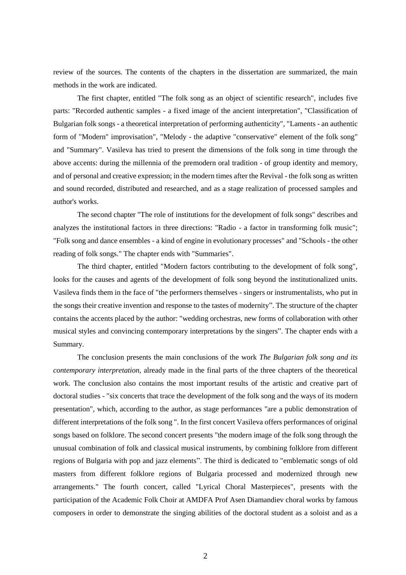review of the sources. The contents of the chapters in the dissertation are summarized, the main methods in the work are indicated.

The first chapter, entitled "The folk song as an object of scientific research", includes five parts: "Recorded authentic samples - a fixed image of the ancient interpretation", "Classification of Bulgarian folk songs - a theoretical interpretation of performing authenticity", "Laments - an authentic form of "Modern" improvisation", "Melody - the adaptive "conservative" element of the folk song" and "Summary". Vasileva has tried to present the dimensions of the folk song in time through the above accents: during the millennia of the premodern oral tradition - of group identity and memory, and of personal and creative expression; in the modern times after the Revival - the folk song as written and sound recorded, distributed and researched, and as a stage realization of processed samples and author's works.

The second chapter "The role of institutions for the development of folk songs" describes and analyzes the institutional factors in three directions: "Radio - a factor in transforming folk music"; "Folk song and dance ensembles - a kind of engine in evolutionary processes" and "Schools - the other reading of folk songs." The chapter ends with "Summaries".

The third chapter, entitled "Modern factors contributing to the development of folk song", looks for the causes and agents of the development of folk song beyond the institutionalized units. Vasileva finds them in the face of "the performers themselves - singers or instrumentalists, who put in the songs their creative invention and response to the tastes of modernity". The structure of the chapter contains the accents placed by the author: "wedding orchestras, new forms of collaboration with other musical styles and convincing contemporary interpretations by the singers". The chapter ends with a Summary.

The conclusion presents the main conclusions of the work *The Bulgarian folk song and its contemporary interpretation*, already made in the final parts of the three chapters of the theoretical work. The conclusion also contains the most important results of the artistic and creative part of doctoral studies - "six concerts that trace the development of the folk song and the ways of its modern presentation", which, according to the author, as stage performances "are a public demonstration of different interpretations of the folk song ". In the first concert Vasileva offers performances of original songs based on folklore. The second concert presents "the modern image of the folk song through the unusual combination of folk and classical musical instruments, by combining folklore from different regions of Bulgaria with pop and jazz elements". The third is dedicated to "emblematic songs of old masters from different folklore regions of Bulgaria processed and modernized through new arrangements." The fourth concert, called "Lyrical Choral Masterpieces", presents with the participation of the Academic Folk Choir at AMDFA Prof Asen Diamandiev choral works by famous composers in order to demonstrate the singing abilities of the doctoral student as a soloist and as a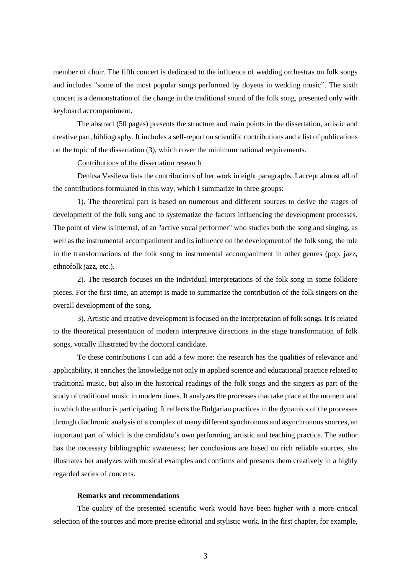member of choir. The fifth concert is dedicated to the influence of wedding orchestras on folk songs and includes "some of the most popular songs performed by doyens in wedding music". The sixth concert is a demonstration of the change in the traditional sound of the folk song, presented only with keyboard accompaniment.

The abstract (50 pages) presents the structure and main points in the dissertation, artistic and creative part, bibliography. It includes a self-report on scientific contributions and a list of publications on the topic of the dissertation (3), which cover the minimum national requirements.

Contributions of the dissertation research

Denitsa Vasileva lists the contributions of her work in eight paragraphs. I accept almost all of the contributions formulated in this way, which I summarize in three groups:

1). The theoretical part is based on numerous and different sources to derive the stages of development of the folk song and to systematize the factors influencing the development processes. The point of view is internal, of an "active vocal performer" who studies both the song and singing, as well as the instrumental accompaniment and its influence on the development of the folk song, the role in the transformations of the folk song to instrumental accompaniment in other genres (pop, jazz, ethnofolk jazz, etc.).

2). The research focuses on the individual interpretations of the folk song in some folklore pieces. For the first time, an attempt is made to summarize the contribution of the folk singers on the overall development of the song.

3). Artistic and creative development is focused on the interpretation of folk songs. It is related to the theoretical presentation of modern interpretive directions in the stage transformation of folk songs, vocally illustrated by the doctoral candidate.

To these contributions I can add a few more: the research has the qualities of relevance and applicability, it enriches the knowledge not only in applied science and educational practice related to traditional music, but also in the historical readings of the folk songs and the singers as part of the study of traditional music in modern times. It analyzes the processes that take place at the moment and in which the author is participating. It reflects the Bulgarian practices in the dynamics of the processes through diachronic analysis of a complex of many different synchronous and asynchronous sources, an important part of which is the candidate's own performing, artistic and teaching practice. The author has the necessary bibliographic awareness; her conclusions are based on rich reliable sources, she illustrates her analyzes with musical examples and confirms and presents them creatively in a highly regarded series of concerts.

## **Remarks and recommendations**

The quality of the presented scientific work would have been higher with a more critical selection of the sources and more precise editorial and stylistic work. In the first chapter, for example,